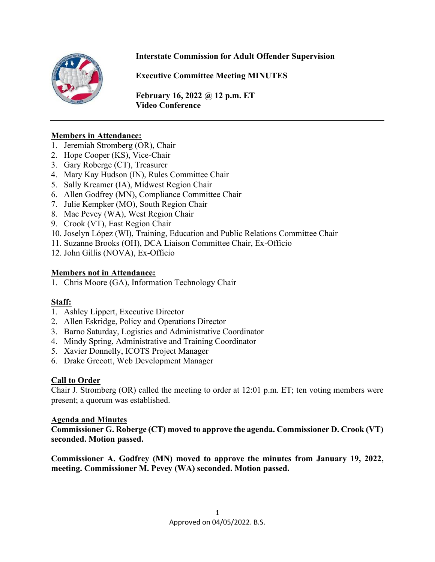

#### **Interstate Commission for Adult Offender Supervision**

**Executive Committee Meeting MINUTES**

**February 16, 2022 @ 12 p.m. ET Video Conference** 

#### **Members in Attendance:**

- 1. Jeremiah Stromberg (OR), Chair
- 2. Hope Cooper (KS), Vice-Chair
- 3. Gary Roberge (CT), Treasurer
- 4. Mary Kay Hudson (IN), Rules Committee Chair
- 5. Sally Kreamer (IA), Midwest Region Chair
- 6. Allen Godfrey (MN), Compliance Committee Chair
- 7. Julie Kempker (MO), South Region Chair
- 8. Mac Pevey (WA), West Region Chair
- 9. Crook (VT), East Region Chair
- 10. Joselyn López (WI), Training, Education and Public Relations Committee Chair
- 11. Suzanne Brooks (OH), DCA Liaison Committee Chair, Ex-Officio
- 12. John Gillis (NOVA), Ex-Officio

#### **Members not in Attendance:**

1. Chris Moore (GA), Information Technology Chair

#### **Staff:**

- 1. Ashley Lippert, Executive Director
- 2. Allen Eskridge, Policy and Operations Director
- 3. Barno Saturday, Logistics and Administrative Coordinator
- 4. Mindy Spring, Administrative and Training Coordinator
- 5. Xavier Donnelly, ICOTS Project Manager
- 6. Drake Greeott, Web Development Manager

#### **Call to Order**

Chair J. Stromberg (OR) called the meeting to order at 12:01 p.m. ET; ten voting members were present; a quorum was established.

#### **Agenda and Minutes**

**Commissioner G. Roberge (CT) moved to approve the agenda. Commissioner D. Crook (VT) seconded. Motion passed.** 

**Commissioner A. Godfrey (MN) moved to approve the minutes from January 19, 2022, meeting. Commissioner M. Pevey (WA) seconded. Motion passed.**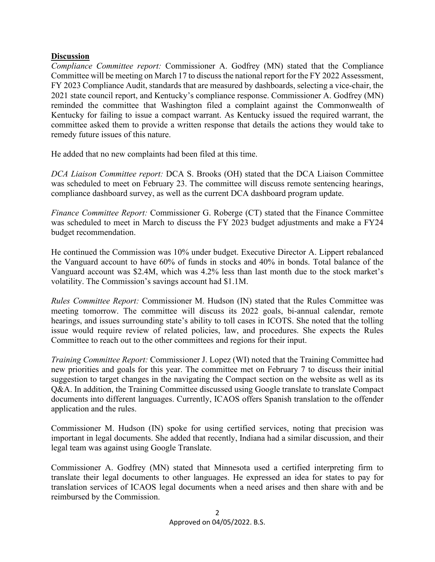#### **Discussion**

*Compliance Committee report:* Commissioner A. Godfrey (MN) stated that the Compliance Committee will be meeting on March 17 to discuss the national report for the FY 2022 Assessment, FY 2023 Compliance Audit, standards that are measured by dashboards, selecting a vice-chair, the 2021 state council report, and Kentucky's compliance response. Commissioner A. Godfrey (MN) reminded the committee that Washington filed a complaint against the Commonwealth of Kentucky for failing to issue a compact warrant. As Kentucky issued the required warrant, the committee asked them to provide a written response that details the actions they would take to remedy future issues of this nature.

He added that no new complaints had been filed at this time.

*DCA Liaison Committee report:* DCA S. Brooks (OH) stated that the DCA Liaison Committee was scheduled to meet on February 23. The committee will discuss remote sentencing hearings, compliance dashboard survey, as well as the current DCA dashboard program update.

*Finance Committee Report:* Commissioner G. Roberge (CT) stated that the Finance Committee was scheduled to meet in March to discuss the FY 2023 budget adjustments and make a FY24 budget recommendation.

He continued the Commission was 10% under budget. Executive Director A. Lippert rebalanced the Vanguard account to have 60% of funds in stocks and 40% in bonds. Total balance of the Vanguard account was \$2.4M, which was 4.2% less than last month due to the stock market's volatility. The Commission's savings account had \$1.1M.

*Rules Committee Report:* Commissioner M. Hudson (IN) stated that the Rules Committee was meeting tomorrow. The committee will discuss its 2022 goals, bi-annual calendar, remote hearings, and issues surrounding state's ability to toll cases in ICOTS. She noted that the tolling issue would require review of related policies, law, and procedures. She expects the Rules Committee to reach out to the other committees and regions for their input.

*Training Committee Report:* Commissioner J. Lopez (WI) noted that the Training Committee had new priorities and goals for this year. The committee met on February 7 to discuss their initial suggestion to target changes in the navigating the Compact section on the website as well as its Q&A. In addition, the Training Committee discussed using Google translate to translate Compact documents into different languages. Currently, ICAOS offers Spanish translation to the offender application and the rules.

Commissioner M. Hudson (IN) spoke for using certified services, noting that precision was important in legal documents. She added that recently, Indiana had a similar discussion, and their legal team was against using Google Translate.

Commissioner A. Godfrey (MN) stated that Minnesota used a certified interpreting firm to translate their legal documents to other languages. He expressed an idea for states to pay for translation services of ICAOS legal documents when a need arises and then share with and be reimbursed by the Commission.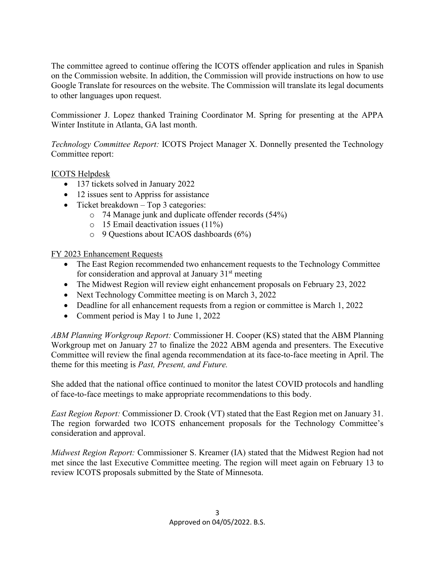The committee agreed to continue offering the ICOTS offender application and rules in Spanish on the Commission website. In addition, the Commission will provide instructions on how to use Google Translate for resources on the website. The Commission will translate its legal documents to other languages upon request.

Commissioner J. Lopez thanked Training Coordinator M. Spring for presenting at the APPA Winter Institute in Atlanta, GA last month.

*Technology Committee Report:* ICOTS Project Manager X. Donnelly presented the Technology Committee report:

#### ICOTS Helpdesk

- 137 tickets solved in January 2022
- 12 issues sent to Appriss for assistance
- Ticket breakdown Top 3 categories:
	- o 74 Manage junk and duplicate offender records (54%)
	- o 15 Email deactivation issues (11%)
	- o 9 Questions about ICAOS dashboards (6%)

FY 2023 Enhancement Requests

- The East Region recommended two enhancement requests to the Technology Committee for consideration and approval at January  $31<sup>st</sup>$  meeting
- The Midwest Region will review eight enhancement proposals on February 23, 2022
- Next Technology Committee meeting is on March 3, 2022
- Deadline for all enhancement requests from a region or committee is March 1, 2022
- Comment period is May 1 to June 1, 2022

*ABM Planning Workgroup Report:* Commissioner H. Cooper (KS) stated that the ABM Planning Workgroup met on January 27 to finalize the 2022 ABM agenda and presenters. The Executive Committee will review the final agenda recommendation at its face-to-face meeting in April. The theme for this meeting is *Past, Present, and Future.* 

She added that the national office continued to monitor the latest COVID protocols and handling of face-to-face meetings to make appropriate recommendations to this body.

*East Region Report:* Commissioner D. Crook (VT) stated that the East Region met on January 31. The region forwarded two ICOTS enhancement proposals for the Technology Committee's consideration and approval.

*Midwest Region Report:* Commissioner S. Kreamer (IA) stated that the Midwest Region had not met since the last Executive Committee meeting. The region will meet again on February 13 to review ICOTS proposals submitted by the State of Minnesota.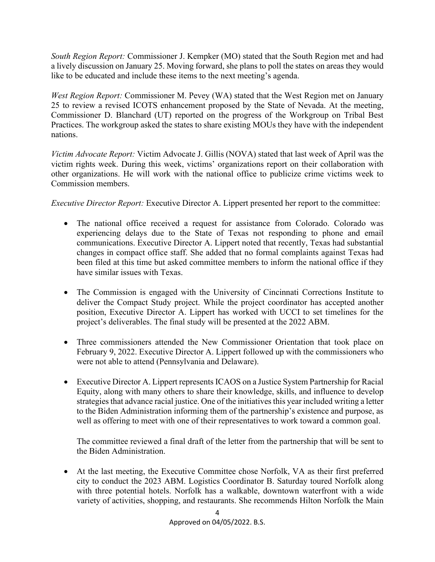*South Region Report:* Commissioner J. Kempker (MO) stated that the South Region met and had a lively discussion on January 25. Moving forward, she plans to poll the states on areas they would like to be educated and include these items to the next meeting's agenda.

*West Region Report:* Commissioner M. Pevey (WA) stated that the West Region met on January 25 to review a revised ICOTS enhancement proposed by the State of Nevada. At the meeting, Commissioner D. Blanchard (UT) reported on the progress of the Workgroup on Tribal Best Practices. The workgroup asked the states to share existing MOUs they have with the independent nations.

*Victim Advocate Report:* Victim Advocate J. Gillis (NOVA) stated that last week of April was the victim rights week. During this week, victims' organizations report on their collaboration with other organizations. He will work with the national office to publicize crime victims week to Commission members.

*Executive Director Report:* Executive Director A. Lippert presented her report to the committee:

- The national office received a request for assistance from Colorado. Colorado was experiencing delays due to the State of Texas not responding to phone and email communications. Executive Director A. Lippert noted that recently, Texas had substantial changes in compact office staff. She added that no formal complaints against Texas had been filed at this time but asked committee members to inform the national office if they have similar issues with Texas.
- The Commission is engaged with the University of Cincinnati Corrections Institute to deliver the Compact Study project. While the project coordinator has accepted another position, Executive Director A. Lippert has worked with UCCI to set timelines for the project's deliverables. The final study will be presented at the 2022 ABM.
- Three commissioners attended the New Commissioner Orientation that took place on February 9, 2022. Executive Director A. Lippert followed up with the commissioners who were not able to attend (Pennsylvania and Delaware).
- Executive Director A. Lippert represents ICAOS on a Justice System Partnership for Racial Equity, along with many others to share their knowledge, skills, and influence to develop strategies that advance racial justice. One of the initiatives this year included writing a letter to the Biden Administration informing them of the partnership's existence and purpose, as well as offering to meet with one of their representatives to work toward a common goal.

The committee reviewed a final draft of the letter from the partnership that will be sent to the Biden Administration.

• At the last meeting, the Executive Committee chose Norfolk, VA as their first preferred city to conduct the 2023 ABM. Logistics Coordinator B. Saturday toured Norfolk along with three potential hotels. Norfolk has a walkable, downtown waterfront with a wide variety of activities, shopping, and restaurants. She recommends Hilton Norfolk the Main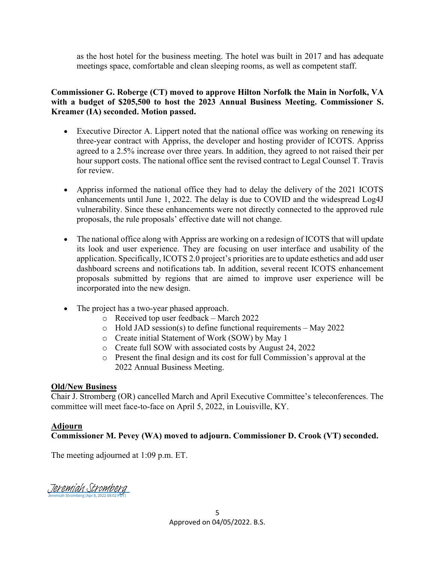as the host hotel for the business meeting. The hotel was built in 2017 and has adequate meetings space, comfortable and clean sleeping rooms, as well as competent staff.

**Commissioner G. Roberge (CT) moved to approve Hilton Norfolk the Main in Norfolk, VA with a budget of \$205,500 to host the 2023 Annual Business Meeting. Commissioner S. Kreamer (IA) seconded. Motion passed.** 

- Executive Director A. Lippert noted that the national office was working on renewing its three-year contract with Appriss, the developer and hosting provider of ICOTS. Appriss agreed to a 2.5% increase over three years. In addition, they agreed to not raised their per hour support costs. The national office sent the revised contract to Legal Counsel T. Travis for review.
- Appriss informed the national office they had to delay the delivery of the 2021 ICOTS enhancements until June 1, 2022. The delay is due to COVID and the widespread Log4J vulnerability. Since these enhancements were not directly connected to the approved rule proposals, the rule proposals' effective date will not change.
- The national office along with Appriss are working on a redesign of ICOTS that will update its look and user experience. They are focusing on user interface and usability of the application. Specifically, ICOTS 2.0 project's priorities are to update esthetics and add user dashboard screens and notifications tab. In addition, several recent ICOTS enhancement proposals submitted by regions that are aimed to improve user experience will be incorporated into the new design.
- The project has a two-year phased approach.
	- o Received top user feedback March 2022
	- o Hold JAD session(s) to define functional requirements May 2022
	- o Create initial Statement of Work (SOW) by May 1
	- o Create full SOW with associated costs by August 24, 2022
	- o Present the final design and its cost for full Commission's approval at the 2022 Annual Business Meeting.

#### **Old/New Business**

Chair J. Stromberg (OR) cancelled March and April Executive Committee's teleconferences. The committee will meet face-to-face on April 5, 2022, in Louisville, KY.

#### **Adjourn**

#### **Commissioner M. Pevey (WA) moved to adjourn. Commissioner D. Crook (VT) seconded.**

The meeting adjourned at 1:09 p.m. ET.

Jeremiah Stromberg (Apr 8, 2022 08:02 PDT) [Jeremiah Stromberg](https://eu1.documents.adobe.com/verifier?tx=CBJCHBCAABAA-PL58Z00Rw8tRxP0_oRSejWfLP9vpuYp)